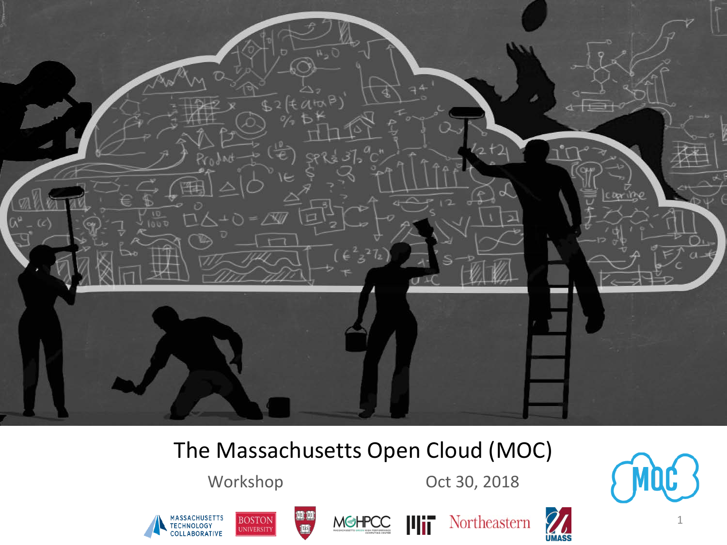

#### The Massachusetts Open Cloud (MOC)

**BOSTON** 

Workshop Oct 30, 2018













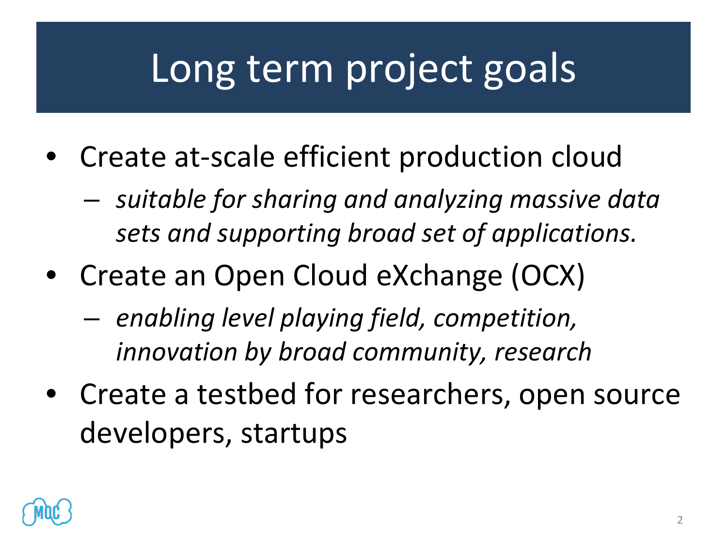## Long term project goals

- Create at-scale efficient production cloud
	- *suitable for sharing and analyzing massive data sets and supporting broad set of applications.*
- Create an Open Cloud eXchange (OCX)
	- *enabling level playing field, competition, innovation by broad community, research*
- Create a testbed for researchers, open source developers, startups

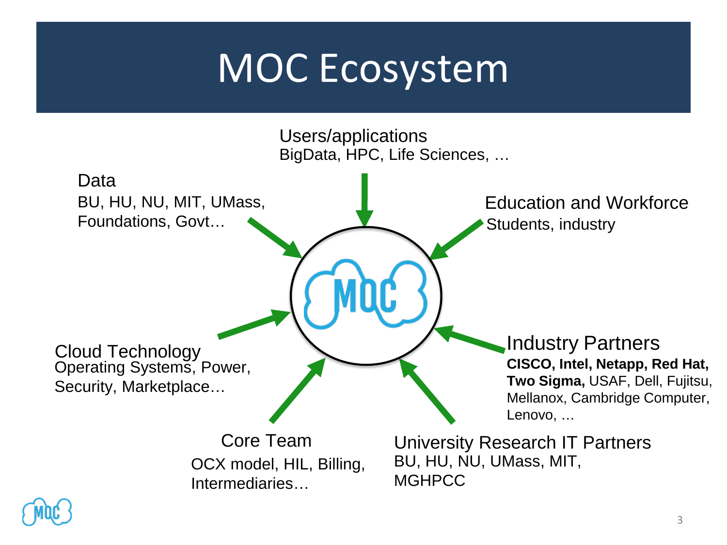## MOC Ecosystem



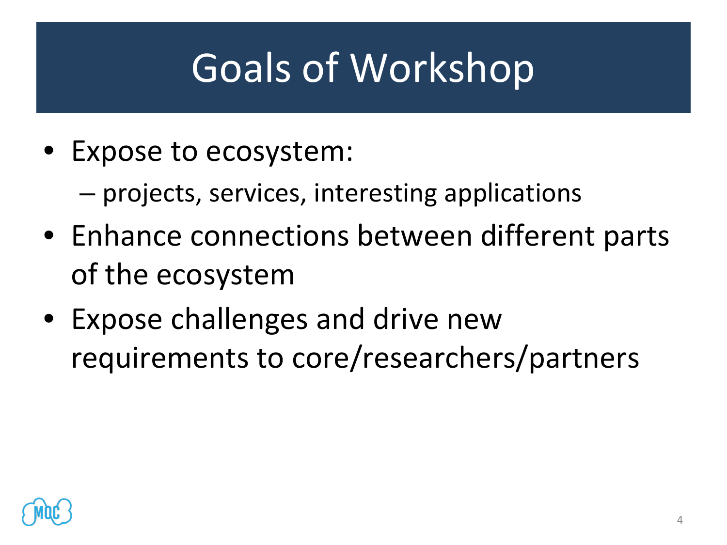# Goals of Workshop

- Expose to ecosystem:
	- projects, services, interesting applications
- Enhance connections between different parts of the ecosystem
- Expose challenges and drive new requirements to core/researchers/partners

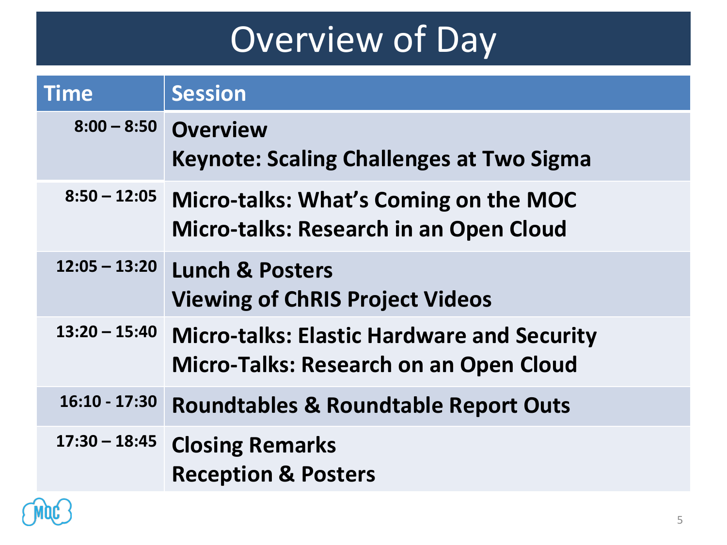### Overview of Day

| <b>Time</b>     | <b>Session</b>                                                                                     |
|-----------------|----------------------------------------------------------------------------------------------------|
| $8:00 - 8:50$   | <b>Overview</b><br><b>Keynote: Scaling Challenges at Two Sigma</b>                                 |
| $8:50 - 12:05$  | <b>Micro-talks: What's Coming on the MOC</b><br><b>Micro-talks: Research in an Open Cloud</b>      |
| $12:05 - 13:20$ | <b>Lunch &amp; Posters</b><br><b>Viewing of ChRIS Project Videos</b>                               |
| $13:20 - 15:40$ | <b>Micro-talks: Elastic Hardware and Security</b><br><b>Micro-Talks: Research on an Open Cloud</b> |
| $16:10 - 17:30$ | <b>Roundtables &amp; Roundtable Report Outs</b>                                                    |
| $17:30 - 18:45$ | <b>Closing Remarks</b><br><b>Reception &amp; Posters</b>                                           |

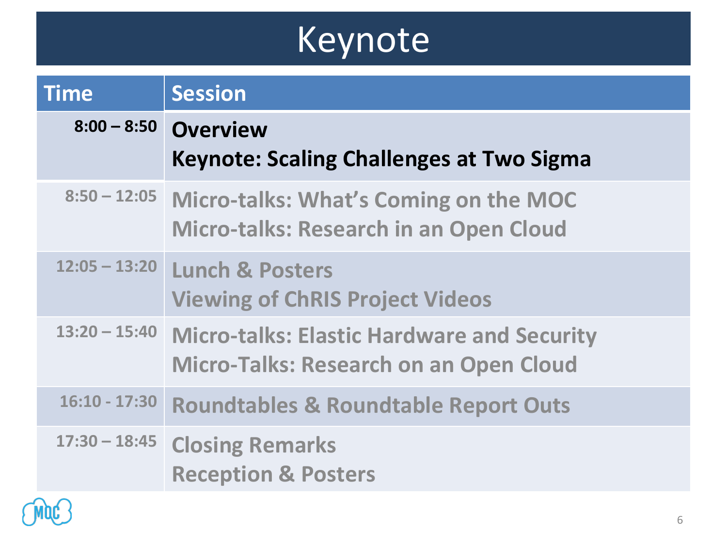## Keynote

| <b>Time</b>     | <b>Session</b>                                                                                      |
|-----------------|-----------------------------------------------------------------------------------------------------|
| $8:00 - 8:50$   | <b>Overview</b><br><b>Keynote: Scaling Challenges at Two Sigma</b>                                  |
|                 | 8:50 - 12:05 Micro-talks: What's Coming on the MOC<br><b>Micro-talks: Research in an Open Cloud</b> |
| $12:05 - 13:20$ | <b>Lunch &amp; Posters</b><br><b>Viewing of ChRIS Project Videos</b>                                |
| $13:20 - 15:40$ | <b>Micro-talks: Elastic Hardware and Security</b><br><b>Micro-Talks: Research on an Open Cloud</b>  |
| $16:10 - 17:30$ | <b>Roundtables &amp; Roundtable Report Outs</b>                                                     |
|                 | 17:30 - 18:45 Closing Remarks<br><b>Reception &amp; Posters</b>                                     |

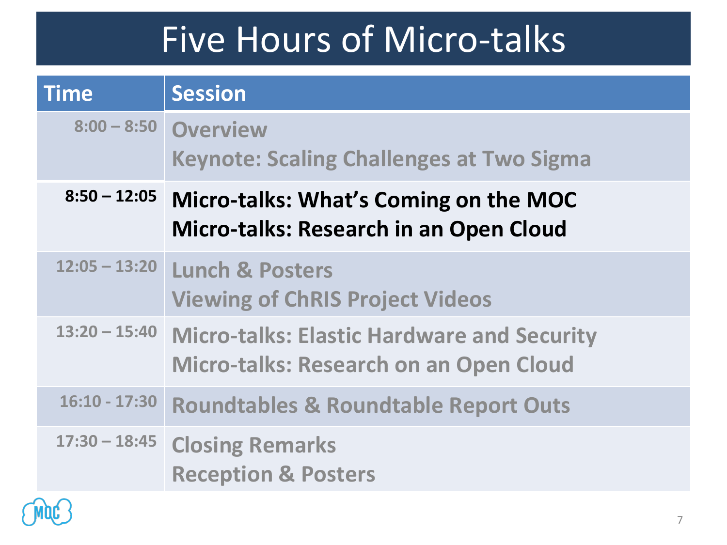### Five Hours of Micro-talks

| <b>Time</b>     | <b>Session</b>                                                                                     |
|-----------------|----------------------------------------------------------------------------------------------------|
|                 | 8:00 - 8:50 Overview<br><b>Keynote: Scaling Challenges at Two Sigma</b>                            |
| $8:50 - 12:05$  | <b>Micro-talks: What's Coming on the MOC</b><br><b>Micro-talks: Research in an Open Cloud</b>      |
| $12:05 - 13:20$ | <b>Lunch &amp; Posters</b><br><b>Viewing of ChRIS Project Videos</b>                               |
| $13:20 - 15:40$ | <b>Micro-talks: Elastic Hardware and Security</b><br><b>Micro-talks: Research on an Open Cloud</b> |
| $16:10 - 17:30$ | <b>Roundtables &amp; Roundtable Report Outs</b>                                                    |
|                 | 17:30 - 18:45 Closing Remarks<br><b>Reception &amp; Posters</b>                                    |

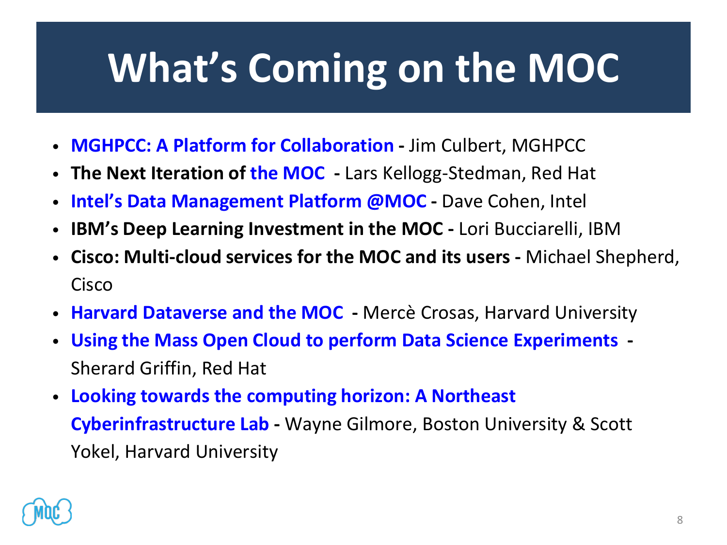# **What's Coming on the MOC**

- **[MGHPCC: A Platform for Collaboration](https://massopen.cloud/wp-content/uploads/2018/10/Culbert-Abstract-and-Bio.pdf) -** Jim Culbert, MGHPCC
- **The Next Iteration of [the MOC](https://massopen.cloud/wp-content/uploads/2018/10/Kellogg-Stedman-Abstract-and-Bio.pdf) -** Lars Kellogg-Stedman, Red Hat
- **[Intel's Data Management Platform @MOC](https://massopen.cloud/wp-content/uploads/2018/10/Abstract-and-Bio.pdf) -** Dave Cohen, Intel
- **IBM's Deep Learning Investment in the MOC -** Lori Bucciarelli, IBM
- **Cisco: Multi-cloud services for the MOC and its users -** Michael Shepherd, Cisco
- **[Harvard Dataverse and the MOC](https://massopen.cloud/wp-content/uploads/2018/10/Crosas-Abstract-and-Bio.pdf) -** Mercè Crosas, Harvard University
- **[Using the Mass Open Cloud to perform Data Science Experiments](https://massopen.cloud/wp-content/uploads/2018/10/Huels-Abstract-and-bio.pdf) -** Sherard Griffin, Red Hat
- **[Looking towards the computing horizon: A Northeast](https://massopen.cloud/wp-content/uploads/2018/10/Gilmore-and-Yokel-Abstract-and-Bio.pdf) Cyberinfrastructure Lab -** Wayne Gilmore, Boston University & Scott Yokel, Harvard University

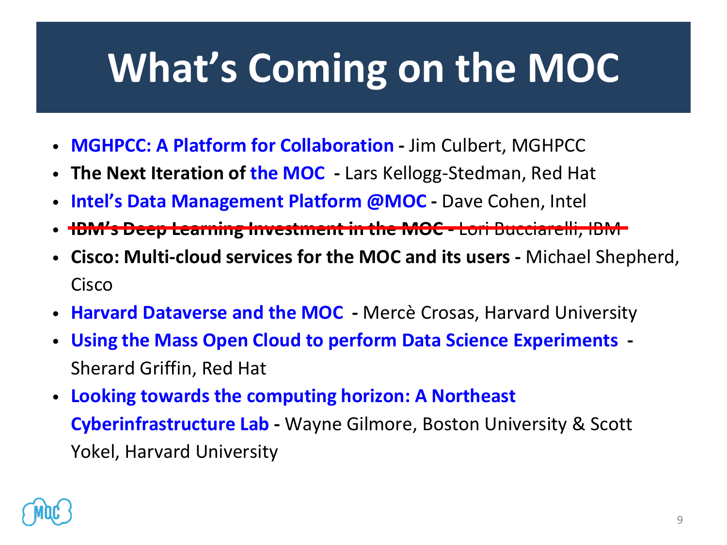# **What's Coming on the MOC**

- **[MGHPCC: A Platform for Collaboration](https://massopen.cloud/wp-content/uploads/2018/10/Culbert-Abstract-and-Bio.pdf) -** Jim Culbert, MGHPCC
- **The Next Iteration of [the MOC](https://massopen.cloud/wp-content/uploads/2018/10/Kellogg-Stedman-Abstract-and-Bio.pdf) -** Lars Kellogg-Stedman, Red Hat
- **[Intel's Data Management Platform @MOC](https://massopen.cloud/wp-content/uploads/2018/10/Abstract-and-Bio.pdf) -** Dave Cohen, Intel
- **IBM's Deep Learning Investment in the MOC -** Lori Bucciarelli, IBM
- **Cisco: Multi-cloud services for the MOC and its users -** Michael Shepherd, Cisco
- **[Harvard Dataverse and the MOC](https://massopen.cloud/wp-content/uploads/2018/10/Crosas-Abstract-and-Bio.pdf) -** Mercè Crosas, Harvard University
- **[Using the Mass Open Cloud to perform Data Science Experiments](https://massopen.cloud/wp-content/uploads/2018/10/Huels-Abstract-and-bio.pdf) -** Sherard Griffin, Red Hat
- **[Looking towards the computing horizon: A Northeast](https://massopen.cloud/wp-content/uploads/2018/10/Gilmore-and-Yokel-Abstract-and-Bio.pdf) Cyberinfrastructure Lab -** Wayne Gilmore, Boston University & Scott Yokel, Harvard University

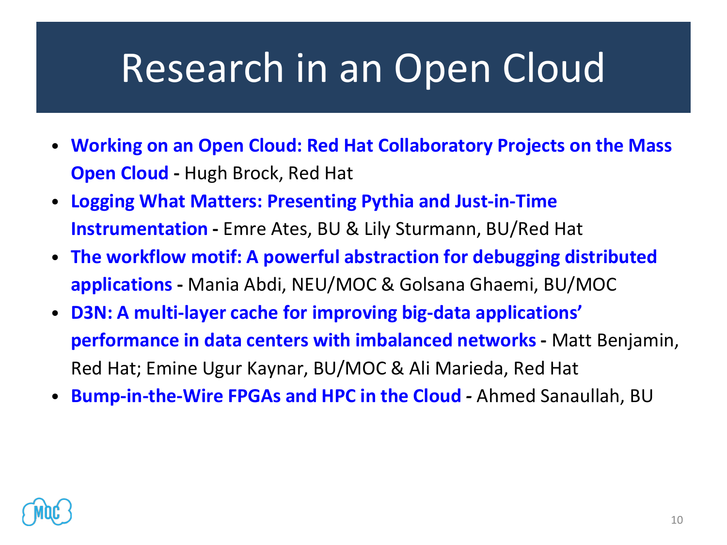## Research in an Open Cloud

- **[Working on an Open Cloud: Red Hat Collaboratory Projects on the Mass](https://massopen.cloud/wp-content/uploads/2018/10/Brock-Abstract-and-Bio.pdf)  Open Cloud -** Hugh Brock, Red Hat
- **[Logging What Matters: Presenting Pythia and Just-in-Time](https://massopen.cloud/wp-content/uploads/2018/10/Ates-and-Sturmann-Abstract-and-Bio.pdf) Instrumentation -** Emre Ates, BU & Lily Sturmann, BU/Red Hat
- **[The workflow motif: A powerful abstraction for debugging distributed](https://massopen.cloud/wp-content/uploads/2018/10/Abdi-and-Ghaemi-Abstract-and-Bio-1.pdf)  applications -** Mania Abdi, NEU/MOC & Golsana Ghaemi, BU/MOC
- **[D3N: A multi-layer cache for improving big-data applications'](https://massopen.cloud/wp-content/uploads/2018/10/Benjamin-Kaynar-and-Maredia-Abstract-and-Bio.pdf) performance in data centers with imbalanced networks -** Matt Benjamin, Red Hat; Emine Ugur Kaynar, BU/MOC & Ali Marieda, Red Hat
- **[Bump-in-the-Wire FPGAs and HPC in the Cloud](https://massopen.cloud/wp-content/uploads/2018/10/Sanaullah-Abstract-and-Bio.pdf)** *-* Ahmed Sanaullah, BU

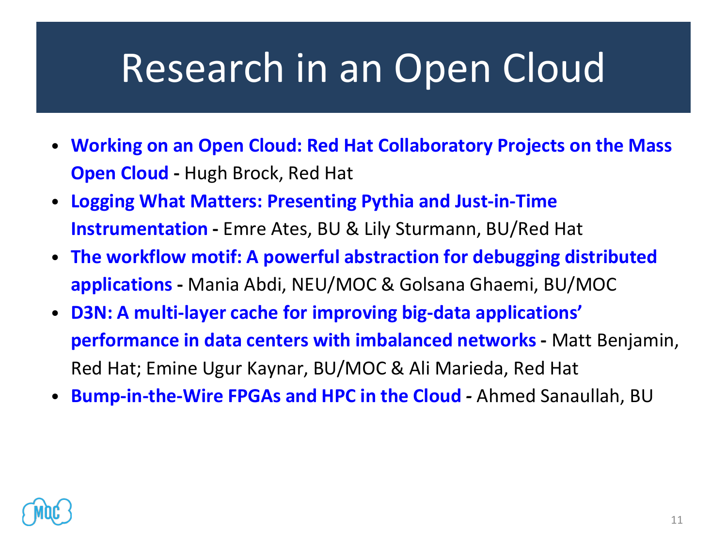## Research in an Open Cloud

- **[Working on an Open Cloud: Red Hat Collaboratory Projects on the Mass](https://massopen.cloud/wp-content/uploads/2018/10/Brock-Abstract-and-Bio.pdf)  Open Cloud -** Hugh Brock, Red Hat
- **[Logging What Matters: Presenting Pythia and Just-in-Time](https://massopen.cloud/wp-content/uploads/2018/10/Ates-and-Sturmann-Abstract-and-Bio.pdf) Instrumentation -** Emre Ates, BU & Lily Sturmann, BU/Red Hat
- **[The workflow motif: A powerful abstraction for debugging distributed](https://massopen.cloud/wp-content/uploads/2018/10/Abdi-and-Ghaemi-Abstract-and-Bio-1.pdf)  applications -** Mania Abdi, NEU/MOC & Golsana Ghaemi, BU/MOC
- **[D3N: A multi-layer cache for improving big-data applications'](https://massopen.cloud/wp-content/uploads/2018/10/Benjamin-Kaynar-and-Maredia-Abstract-and-Bio.pdf) performance in data centers with imbalanced networks -** Matt Benjamin, Red Hat; Emine Ugur Kaynar, BU/MOC & Ali Marieda, Red Hat
- **[Bump-in-the-Wire FPGAs and HPC in the Cloud](https://massopen.cloud/wp-content/uploads/2018/10/Sanaullah-Abstract-and-Bio.pdf)** *-* Ahmed Sanaullah, BU

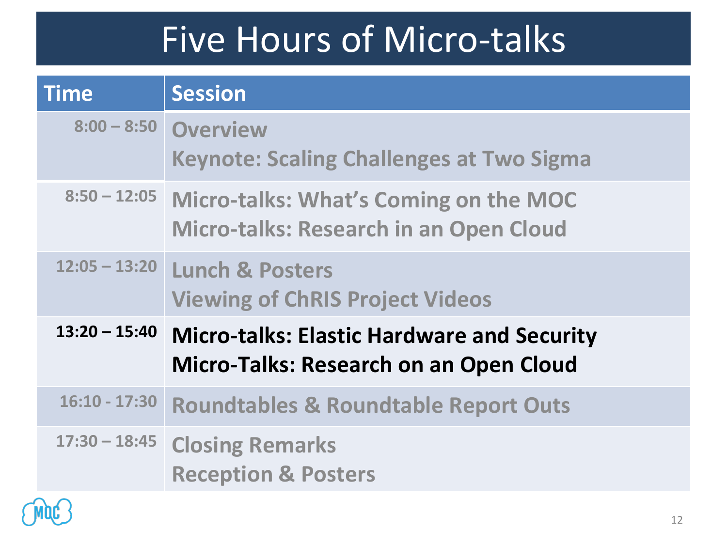### Five Hours of Micro-talks

| <b>Time</b>     | <b>Session</b>                                                                                      |
|-----------------|-----------------------------------------------------------------------------------------------------|
|                 | 8:00 - 8:50 Overview<br><b>Keynote: Scaling Challenges at Two Sigma</b>                             |
|                 | 8:50 - 12:05 Micro-talks: What's Coming on the MOC<br><b>Micro-talks: Research in an Open Cloud</b> |
| $12:05 - 13:20$ | <b>Lunch &amp; Posters</b><br><b>Viewing of ChRIS Project Videos</b>                                |
| $13:20 - 15:40$ | <b>Micro-talks: Elastic Hardware and Security</b><br><b>Micro-Talks: Research on an Open Cloud</b>  |
| $16:10 - 17:30$ | <b>Roundtables &amp; Roundtable Report Outs</b>                                                     |
|                 | 17:30 - 18:45 Closing Remarks<br><b>Reception &amp; Posters</b>                                     |

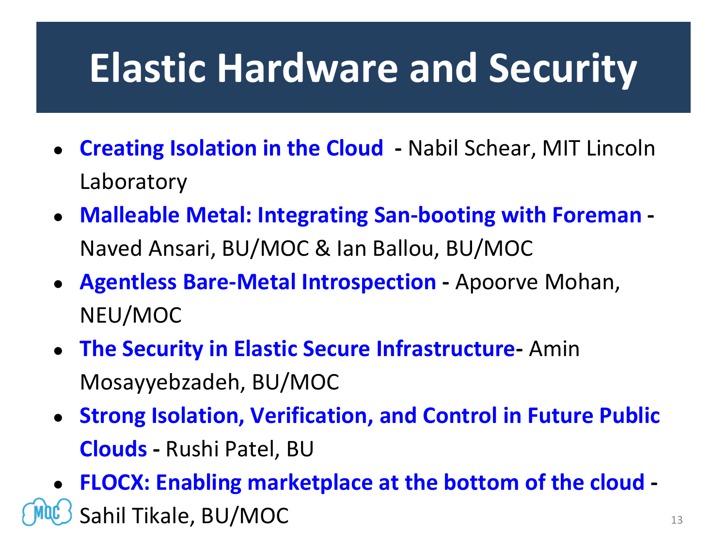## **Elastic Hardware and Security**

- **[Creating Isolation in the Cloud](https://massopen.cloud/wp-content/uploads/2018/10/Schear-Abstract-and-Bio.pdf) -** Nabil Schear, MIT Lincoln Laboratory
- **[Malleable Metal: Integrating San-booting with Foreman](https://massopen.cloud/wp-content/uploads/2018/10/Ballou-Abstract-and-Bio.pdf) -** Naved Ansari, BU/MOC & Ian Ballou, BU/MOC
- **[Agentless Bare-Metal Introspection](https://massopen.cloud/wp-content/uploads/2018/10/Mohan-Abstract-and-Bio.pdf) -** Apoorve Mohan, NEU/MOC
- **[The Security in Elastic Secure Infrastructure-](https://massopen.cloud/wp-content/uploads/2018/10/Mossayebzedah-Abstract-and-Bio-1.pdf)** Amin Mosayyebzadeh, BU/MOC
- **[Strong Isolation, Verification, and Control in Future Public](https://massopen.cloud/wp-content/uploads/2018/10/Patel-Abstract-and-Bio.pdf)  Clouds -** Rushi Patel, BU

● **[FLOCX: Enabling marketplace at the bottom of the cloud](https://massopen.cloud/wp-content/uploads/2018/10/Tikale-Abstract-and-Bio.pdf) -** Sahil Tikale, BU/MOC 13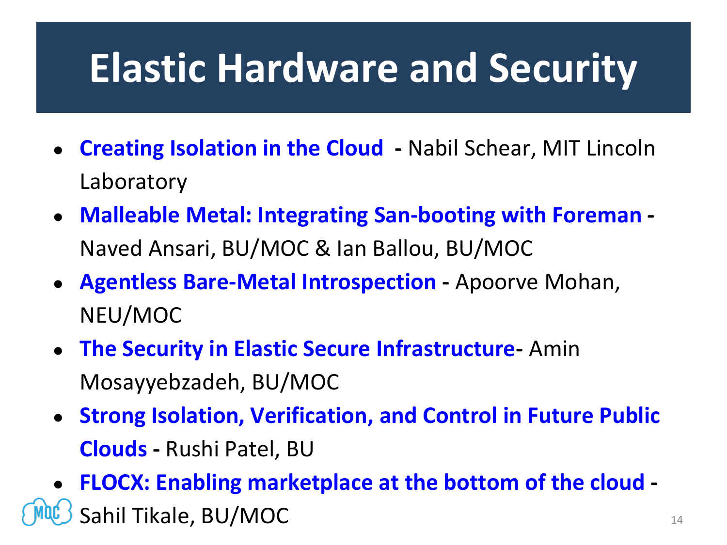## **Elastic Hardware and Security**

- **[Creating Isolation in the Cloud](https://massopen.cloud/wp-content/uploads/2018/10/Schear-Abstract-and-Bio.pdf) -** Nabil Schear, MIT Lincoln Laboratory
- **[Malleable Metal: Integrating San-booting with Foreman](https://massopen.cloud/wp-content/uploads/2018/10/Ballou-Abstract-and-Bio.pdf) -** Naved Ansari, BU/MOC & Ian Ballou, BU/MOC
- **[Agentless Bare-Metal Introspection](https://massopen.cloud/wp-content/uploads/2018/10/Mohan-Abstract-and-Bio.pdf) -** Apoorve Mohan, NEU/MOC
- **[The Security in Elastic Secure Infrastructure-](https://massopen.cloud/wp-content/uploads/2018/10/Mossayebzedah-Abstract-and-Bio-1.pdf)** Amin Mosayyebzadeh, BU/MOC
- **[Strong Isolation, Verification, and Control in Future Public](https://massopen.cloud/wp-content/uploads/2018/10/Patel-Abstract-and-Bio.pdf)  Clouds -** Rushi Patel, BU

● **[FLOCX: Enabling marketplace at the bottom of the cloud](https://massopen.cloud/wp-content/uploads/2018/10/Tikale-Abstract-and-Bio.pdf) -** Sahil Tikale, BU/MOC 14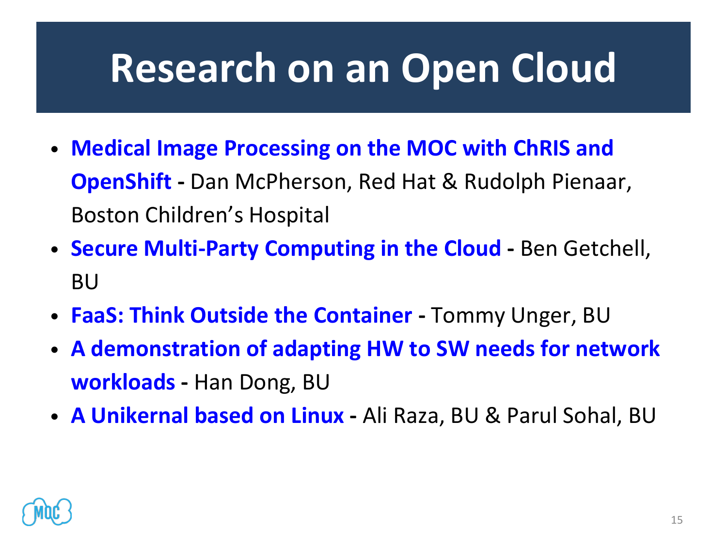## **Research on an Open Cloud**

- **[Medical Image Processing on the MOC with ChRIS and](https://massopen.cloud/wp-content/uploads/2018/10/McPherson-and-Pienaar-Abstract-and-Bio-2.pdf) OpenShift -** Dan McPherson, Red Hat & Rudolph Pienaar, Boston Children's Hospital
- **[Secure Multi-Party Computing in the Cloud](https://massopen.cloud/wp-content/uploads/2018/10/Getchell-Abstract-and-Bio.pdf) -** Ben Getchell, BU
- **[FaaS: Think Outside the Container](https://massopen.cloud/wp-content/uploads/2018/10/Unger-Abstract-and-Bio.pdf) -** Tommy Unger, BU
- **[A demonstration of adapting HW to SW needs for network](https://massopen.cloud/wp-content/uploads/2018/10/Dong-Abstract-and-Bio.pdf) workloads -** Han Dong, BU
- **[A Unikernal based on Linux](https://massopen.cloud/wp-content/uploads/2018/10/UKL__A_Unikernel_based_on_Linux.pdf) -** Ali Raza, BU & Parul Sohal, BU

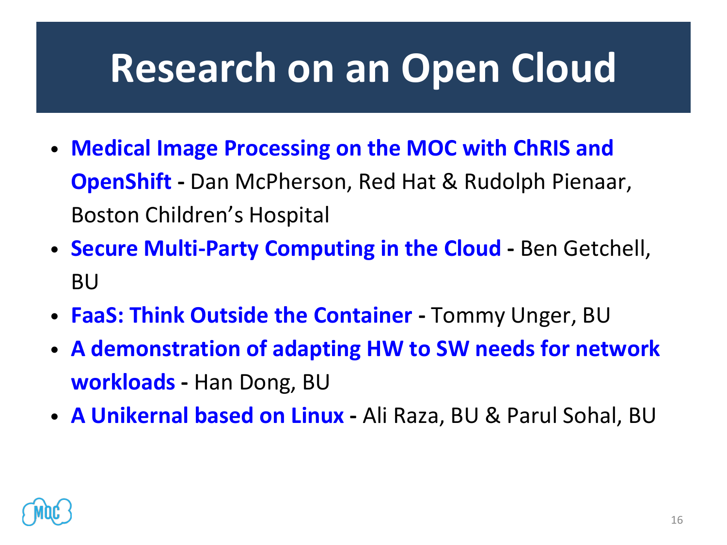## **Research on an Open Cloud**

- **[Medical Image Processing on the MOC with ChRIS and](https://massopen.cloud/wp-content/uploads/2018/10/McPherson-and-Pienaar-Abstract-and-Bio-2.pdf) OpenShift -** Dan McPherson, Red Hat & Rudolph Pienaar, Boston Children's Hospital
- **[Secure Multi-Party Computing in the Cloud](https://massopen.cloud/wp-content/uploads/2018/10/Getchell-Abstract-and-Bio.pdf) -** Ben Getchell, BU
- **[FaaS: Think Outside the Container](https://massopen.cloud/wp-content/uploads/2018/10/Unger-Abstract-and-Bio.pdf) -** Tommy Unger, BU
- **[A demonstration of adapting HW to SW needs for network](https://massopen.cloud/wp-content/uploads/2018/10/Dong-Abstract-and-Bio.pdf) workloads -** Han Dong, BU
- **[A Unikernal based on Linux](https://massopen.cloud/wp-content/uploads/2018/10/UKL__A_Unikernel_based_on_Linux.pdf) -** Ali Raza, BU & Parul Sohal, BU

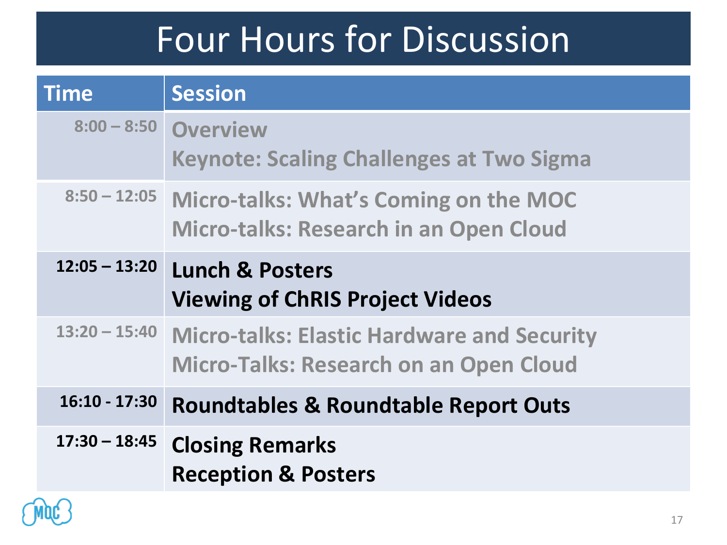#### Four Hours for Discussion

| <b>Time</b>     | <b>Session</b>                                                                                      |
|-----------------|-----------------------------------------------------------------------------------------------------|
|                 | 8:00 - 8:50 Overview<br><b>Keynote: Scaling Challenges at Two Sigma</b>                             |
|                 | 8:50 - 12:05 Micro-talks: What's Coming on the MOC<br><b>Micro-talks: Research in an Open Cloud</b> |
| $12:05 - 13:20$ | <b>Lunch &amp; Posters</b><br><b>Viewing of ChRIS Project Videos</b>                                |
| $13:20 - 15:40$ | <b>Micro-talks: Elastic Hardware and Security</b><br><b>Micro-Talks: Research on an Open Cloud</b>  |
| $16:10 - 17:30$ | <b>Roundtables &amp; Roundtable Report Outs</b>                                                     |
| $17:30 - 18:45$ | <b>Closing Remarks</b><br><b>Reception &amp; Posters</b>                                            |

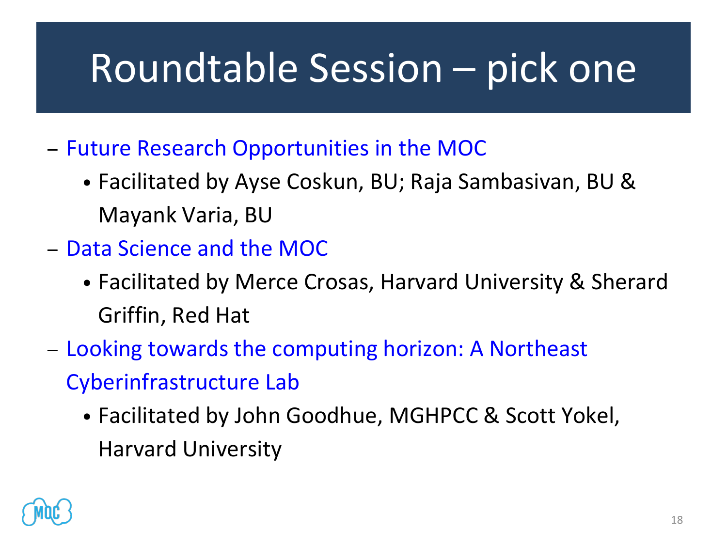## Roundtable Session – pick one

- [Future Research Opportunities in the MOC](https://massopen.cloud/wp-content/uploads/2018/10/Research-Roundtable-1.pdf) 
	- Facilitated by Ayse Coskun, BU; Raja Sambasivan, BU & Mayank Varia, BU
- [Data Science and the MOC](https://massopen.cloud/wp-content/uploads/2018/10/Data-Science-and-the-MOC-Roundtable-1.pdf)
	- Facilitated by Merce Crosas, Harvard University & Sherard Griffin, Red Hat
- [Looking towards the computing horizon: A Northeast](https://massopen.cloud/wp-content/uploads/2018/10/NECI-Roundtable-2.pdf)  Cyberinfrastructure Lab
	- Facilitated by John Goodhue, MGHPCC & Scott Yokel, Harvard University